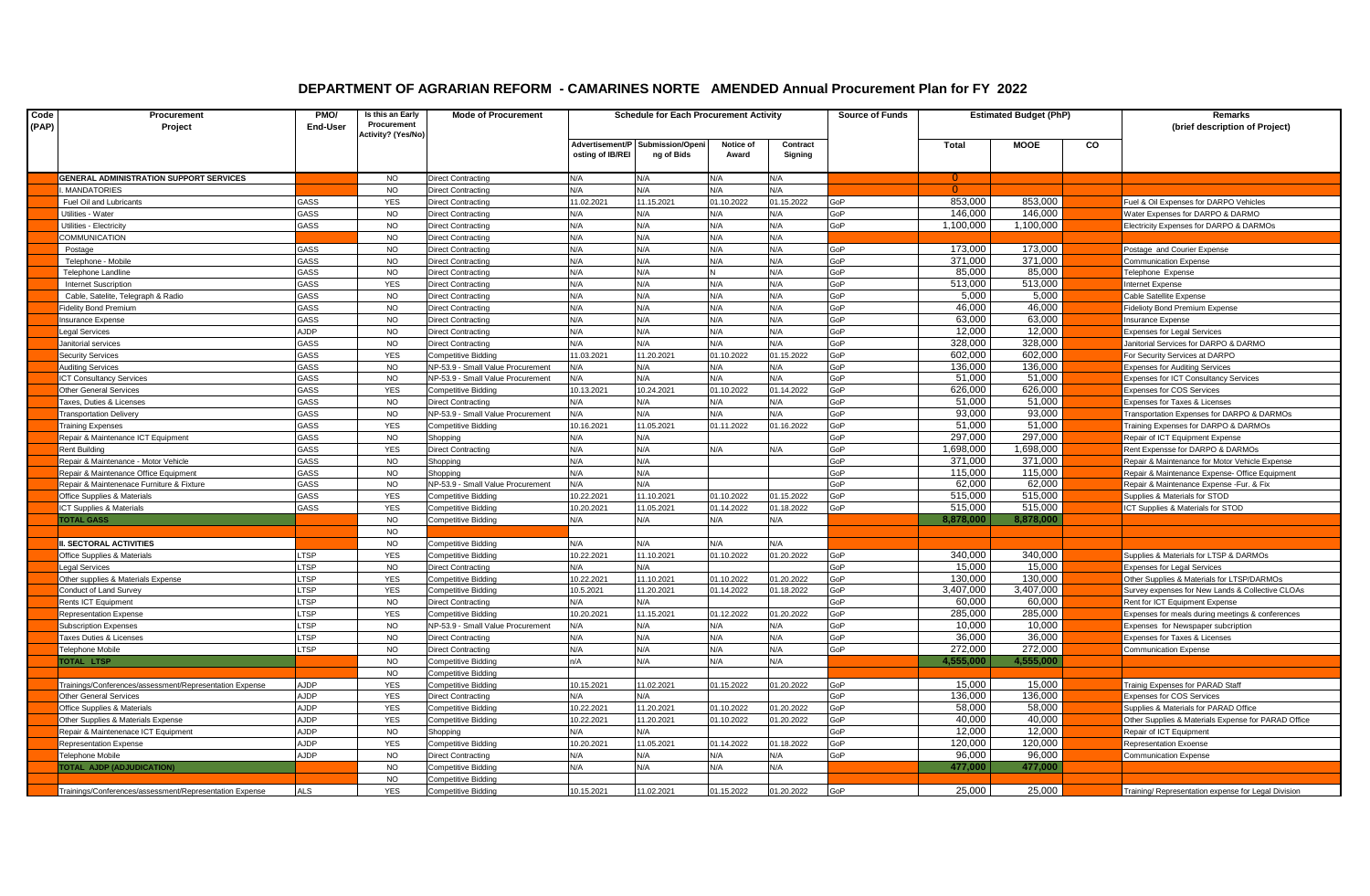## **DEPARTMENT OF AGRARIAN REFORM - CAMARINES NORTE AMENDED Annual Procurement Plan for FY 2022**

| Code<br>(PAP) | Procurement<br>Project                                  | PMO/<br>End-User | Is this an Early<br>Procurement | <b>Mode of Procurement</b>        |                  | <b>Schedule for Each Procurement Activity</b>  |                    |                     | <b>Source of Funds</b> | <b>Estimated Budget (PhP)</b> |           |    | Remarks<br>(brief description of Project)             |
|---------------|---------------------------------------------------------|------------------|---------------------------------|-----------------------------------|------------------|------------------------------------------------|--------------------|---------------------|------------------------|-------------------------------|-----------|----|-------------------------------------------------------|
|               |                                                         |                  | Activity? (Yes/No)              |                                   |                  |                                                |                    |                     |                        |                               |           |    |                                                       |
|               |                                                         |                  |                                 |                                   | osting of IB/REI | Advertisement/P Submission/Openi<br>ng of Bids | Notice of<br>Award | Contract<br>Signing |                        | Total                         | MOOE      | CO |                                                       |
|               |                                                         |                  |                                 |                                   |                  |                                                |                    |                     |                        |                               |           |    |                                                       |
|               | <b>GENERAL ADMINISTRATION SUPPORT SERVICES</b>          |                  | <b>NO</b>                       | Direct Contracting                | N/A              | N/A                                            | N/A                | N/A                 |                        | $\Omega$                      |           |    |                                                       |
|               | MANDATORIES                                             |                  | <b>NO</b>                       | Direct Contracting                | N/A              | N/A                                            | N/A                | N/A                 |                        |                               |           |    |                                                       |
|               | Fuel Oil and Lubricants                                 | GASS             | <b>YES</b>                      | Direct Contracting                | 11.02.2021       | 11.15.2021                                     | 01.10.2022         | 01.15.2022          | GoP                    | 853.000                       | 853,000   |    | Fuel & Oil Expenses for DARPO Vehicles                |
|               | Utilities - Water                                       | GASS             | NO.                             | Direct Contracting                | N/A              | N/A                                            | N/A                | N/A                 | GoP                    | 146,000                       | 146,000   |    | <b>Nater Expenses for DARPO &amp; DARMO</b>           |
|               | Jtilities - Electricity                                 | GASS             | <b>NO</b>                       | Direct Contracting                | N/A              | N/A                                            | <b>N/A</b>         | N/A                 | GoP                    | 1.100.000                     | 1,100,000 |    | Electricity Expenses for DARPO & DARMOs               |
|               | COMMUNICATION                                           |                  | <b>NO</b>                       | Direct Contracting                | N/A              | N/A                                            | N/A                | N/A                 |                        |                               |           |    |                                                       |
|               | Postage                                                 | <b>GASS</b>      | <b>NO</b>                       | Direct Contracting                | N/A              | N/A                                            | N/A                | N/A                 | GoP                    | 173.000                       | 173.000   |    | Postage and Courier Expense                           |
|               | Telephone - Mobile                                      | GASS             | <b>NO</b>                       | Direct Contracting                | N/A              | N/A                                            | N/A                | N/A                 | GoP                    | 371.000                       | 371,000   |    | <b>Communication Expense</b>                          |
|               | Telephone Landline                                      | GASS             | <b>NO</b>                       | Direct Contracting                | N/A              | N/A                                            |                    | N/A                 | GoP                    | 85.000                        | 85,000    |    | <b>Telephone Expense</b>                              |
|               | <b>Internet Suscription</b>                             | GASS             | <b>YES</b>                      | Direct Contracting                | N/A              | N/A                                            | N/A                | N/A                 | GoP                    | 513,000                       | 513,000   |    | Internet Expense                                      |
|               | Cable, Satelite, Telegraph & Radio                      | GASS             | <b>NO</b>                       | Direct Contracting                | N/A              | N/A                                            | N/A                | N/A                 | GoP                    | 5,000                         | 5,000     |    | Cable Satellite Expense                               |
|               | idelity Bond Premium                                    | GASS             | <b>NO</b>                       | Direct Contracting                | N/A              | N/A                                            | N/A                | N/A                 | GoP                    | 46,000                        | 46,000    |    | Fidelioty Bond Premium Expense                        |
|               | nsurance Expense                                        | GASS             | <b>NO</b>                       | Direct Contracting                | N/A              | N/A                                            | N/A                | N/A                 | GoP                    | 63,000                        | 63,000    |    | nsurance Expense                                      |
|               | egal Services                                           | AJDP             | <b>NO</b>                       | Direct Contracting                | N/A              | N/A                                            | <b>N/A</b>         | N/A                 | GoP                    | 12,000                        | 12,000    |    | <b>Expenses for Legal Services</b>                    |
|               | Janitorial services                                     | GASS             | <b>NO</b>                       | Direct Contracting                | N/A              | N/A                                            | <b>N/A</b>         | N/A                 | GoP                    | 328,000                       | 328,000   |    | Janitorial Services for DARPO & DARMO                 |
|               | <b>Security Services</b>                                | GASS             | <b>YES</b>                      | Competitive Bidding               | 11.03.2021       | 11.20.2021                                     | 01.10.2022         | 01.15.2022          | GoP                    | 602.000                       | 602.000   |    | For Security Services at DARPO                        |
|               | <b>Auditing Services</b>                                | GASS             | <b>NO</b>                       | NP-53.9 - Small Value Procurement | N/A              | N/A                                            | N/A                | N/A                 | GoP                    | 136,000                       | 136,000   |    | <b>Expenses for Auditing Services</b>                 |
|               | CT Consultancy Services                                 | GASS             | <b>NO</b>                       | NP-53.9 - Small Value Procurement | N/A              | N/A                                            | I/A                | N/A                 | GoP                    | 51,000                        | 51,000    |    | Expenses for ICT Consultancy Services                 |
|               | <b>Other General Services</b>                           | GASS             | <b>YES</b>                      | Competitive Bidding               | 10.13.2021       | 10.24.2021                                     | 01.10.2022         | 01.14.2022          | GoP                    | 626,000                       | 626,000   |    | <b>Expenses for COS Services</b>                      |
|               | axes, Duties & Licenses                                 | GASS             | <b>NO</b>                       | Direct Contracting                | N/A              | N/A                                            | N/A                | N/A                 | GoP                    | 51,000                        | 51,000    |    | Expenses for Taxes & Licenses                         |
|               | <b>Transportation Delivery</b>                          | GASS             | <b>NO</b>                       | NP-53.9 - Small Value Procurement | N/A              | N/A                                            | N/A                | N/A                 | GoP                    | 93,000                        | 93,000    |    | <b>Transportation Expenses for DARPO &amp; DARMOs</b> |
|               | raining Expenses                                        | GASS             | <b>YES</b>                      | Competitive Bidding               | 10.16.2021       | 11.05.2021                                     | 01.11.2022         | 01.16.2022          | GoP                    | 51,000                        | 51,000    |    | raining Expenses for DARPO & DARMOs                   |
|               | Repair & Maintenance ICT Equipment                      | GASS             | <b>NO</b>                       | Shopping                          | N/A              | N/A                                            |                    |                     | GoP                    | 297.000                       | 297,000   |    | Repair of ICT Equipment Expense                       |
|               | Rent Buildind                                           | GASS             | <b>YES</b>                      | Direct Contracting                | N/A              | N/A                                            | N/A                | N/A                 | GoP                    | 000,898,                      | 1,698,000 |    | Rent Expensse for DARPO & DARMOs                      |
|               | Repair & Maintenance - Motor Vehicle                    | GASS             | <b>NO</b>                       | Shopping                          | N/A              | N/A                                            |                    |                     | GoP                    | 371.000                       | 371.000   |    | Repair & Maintenance for Motor Vehicle Expense        |
|               | Repair & Maintenance Office Equipment                   | GASS             | <b>NO</b>                       | Shopping                          | N/A              | N/A                                            |                    |                     | GoP                    | 115.000                       | 115,000   |    | Repair & Maintenance Expense- Office Equipment        |
|               | Repair & Maintenenace Furniture & Fixture               | GASS             | <b>NO</b>                       | NP-53.9 - Small Value Procurement | N/A              | N/A                                            |                    |                     | GoP                    | 62.000                        | 62,000    |    | Repair & Maintenance Expense -Fur. & Fix              |
|               | Office Supplies & Materials                             | GASS             | <b>YES</b>                      | Competitive Bidding               | 10.22.2021       | 11.10.2021                                     | 1.10.2022          | 01.15.2022          | GoP                    | 515,000                       | 515,000   |    | Supplies & Materials for STOD                         |
|               | ICT Supplies & Materials                                | GASS             | <b>YES</b>                      | Competitive Bidding               | 10.20.2021       | 11.05.2021                                     | 1.14.2022          | 01.18.2022          | GoP                    | 515,000                       | 515,000   |    | ICT Supplies & Materials for STOD                     |
|               | <b>TOTAL GASS</b>                                       |                  | <b>NO</b>                       | Competitive Bidding               | N/A              | N/A                                            | N/A                | N/A                 |                        | 8,878,000                     | 8,878,000 |    |                                                       |
|               |                                                         |                  | <b>NO</b>                       |                                   |                  |                                                |                    |                     |                        |                               |           |    |                                                       |
|               | II. SECTORAL ACTIVITIES                                 |                  | <b>NO</b>                       | Competitive Bidding               | N/A              | N/A                                            | N/A                | N/A                 |                        |                               |           |    |                                                       |
|               | Office Supplies & Materials                             | .TSP             | <b>YES</b>                      | Competitive Bidding               | 10.22.2021       | 11.10.2021                                     | 01.10.2022         | 01.20.2022          | GoP                    | 340.000                       | 340.000   |    | Supplies & Materials for LTSP & DARMOs                |
|               | egal Services                                           | TSP <sub>-</sub> | <b>NO</b>                       | Direct Contracting                | N/A              | N/A                                            |                    |                     | GoP                    | 15.000                        | 15.000    |    | <b>Expenses for Legal Services</b>                    |
|               | Other supplies & Materials Expense                      | <b>LTSP</b>      | <b>YES</b>                      | Competitive Bidding               | 10.22.2021       | 11.10.2021                                     | 01.10.2022         | 01.20.2022          | GoP                    | 130.000                       | 130.000   |    | Other Supplies & Materials for LTSP/DARMOs            |
|               | Conduct of Land Survey                                  | LTSP             | <b>YES</b>                      | Competitive Bidding               | 10.5.2021        | 11.20.2021                                     | 01.14.2022         | 01.18.2022          | GoP                    | 3,407,000                     | 3,407,000 |    | Survey expenses for New Lands & Collective CLOAs      |
|               | Rents ICT Equipment                                     | <b>LTSP</b>      | <b>NO</b>                       | Direct Contracting                | N/A              | N/A                                            |                    |                     | GoP                    | 60,000                        | 60,000    |    | Rent for ICT Equipment Expense                        |
|               | Representation Expense                                  | LTSP             | <b>YES</b>                      | Competitive Bidding               | 10.20.2021       | 11.15.2021                                     | 01.12.2022         | 01.20.2022          | GoP                    | 285,000                       | 285,000   |    | Expenses for meals during meetings & conferences      |
|               | <b>Subscription Expenses</b>                            | <b>LTSP</b>      | <b>NO</b>                       | NP-53.9 - Small Value Procurement | N/A              | N/A                                            | N/A                | N/A                 | GoP                    | 10,000                        | 10,000    |    | Expenses for Newspaper subcription                    |
|               | axes Duties & Licenses                                  | LTSP             | <b>NO</b>                       | Direct Contracting                | N/A              | N/A                                            | N/A                | N/A                 | GoP                    | 36,000                        | 36,000    |    | <b>Expenses for Taxes &amp; Licenses</b>              |
|               | <b>Telephone Mobile</b>                                 | <b>LTSP</b>      | <b>NO</b>                       | Direct Contracting                | N/A              | N/A                                            | N/A                | N/A                 | GoP                    | 272,000                       | 272,000   |    | Communication Expense                                 |
|               | TOTAL LTSP                                              |                  | <b>NO</b>                       | Competitive Bidding               | n/A              | N/A                                            | N/A                | N/A                 |                        | 4,555,000                     | 4,555,000 |    |                                                       |
|               |                                                         |                  | <b>NO</b>                       | Competitive Bidding               |                  |                                                |                    |                     |                        |                               |           |    |                                                       |
|               | Trainings/Conferences/assessment/Representation Expense | <b>AJDP</b>      | <b>YES</b>                      | Competitive Bidding               | 10.15.2021       | 11.02.2021                                     | 01.15.2022         | 01.20.2022          | GoP                    | 15,000                        | 15,000    |    | <b>Trainig Expenses for PARAD Staff</b>               |
|               | <b>Other General Services</b>                           | <b>AJDP</b>      | <b>YES</b>                      | Direct Contracting                | N/A              | N/A                                            |                    |                     | GoP                    | 136.000                       | 136.000   |    | <b>Expenses for COS Services</b>                      |
|               | Office Supplies & Materials                             | <b>AJDP</b>      | <b>YES</b>                      | Competitive Bidding               | 10.22.2021       | 11.20.2021                                     | 01.10.2022         | 01.20.2022          | GoP                    | 58,000                        | 58,000    |    | Supplies & Materials for PARAD Office                 |
|               | Other Supplies & Materials Expense                      | <b>AJDP</b>      | <b>YES</b>                      | Competitive Bidding               | 10.22.2021       | 11.20.2021                                     | 01.10.2022         | 01.20.2022          | GoP                    | 40.000                        | 40,000    |    | Other Supplies & Materials Expense for PARAD Office   |
|               | Repair & Maintenenace ICT Equipment                     | <b>AJDP</b>      | <b>NO</b>                       | Shopping                          | N/A              | N/A                                            |                    |                     | GoP                    | 12.000                        | 12,000    |    | Repair of ICT Equipment                               |
|               | Representation Expense                                  | <b>AJDP</b>      | <b>YES</b>                      | Competitive Bidding               | 10.20.2021       | 11.05.2021                                     | 1.14.2022          | 01.18.2022          | GoP                    | 120,000                       | 120,000   |    | Representation Exoense                                |
|               | <b>Telephone Mobile</b>                                 | <b>AJDP</b>      | <b>NO</b>                       | Direct Contracting                | N/A              | N/A                                            | N/A                | N/A                 | GoP                    | 96,000                        | 96,000    |    | Communication Expense                                 |
|               | <b>TOTAL AJDP (ADJUDICATION)</b>                        |                  | <b>NO</b>                       | Competitive Bidding               | N/A              | N/A                                            | N/A                | N/A                 |                        | 477,000                       | 477,000   |    |                                                       |
|               |                                                         |                  | <b>NO</b>                       | Competitive Bidding               |                  |                                                |                    |                     |                        |                               |           |    |                                                       |
|               | Trainings/Conferences/assessment/Representation Expense | <b>ALS</b>       | <b>YES</b>                      | <b>Competitive Bidding</b>        | 10.15.2021       | 11.02.2021                                     | 01.15.2022         | 01.20.2022          | GoP                    | 25.000                        | 25,000    |    | Fraining/ Representation expense for Legal Division   |